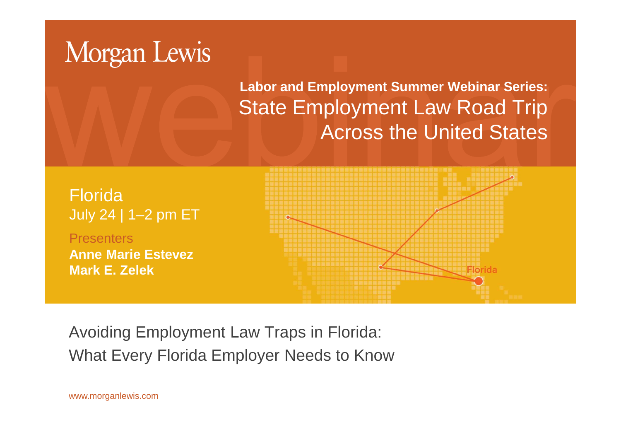# Morgan Lewis

**Labor and Employment Summer Webinar Series:** State Employment Law Road Trip Across the United States

Florida July 24 | 1–2 pm ET **Presenters Anne Marie Estevez Mark E. Zelek**Florida

Avoiding Employment Law Traps in Florida: What Every Florida Employer Needs to Know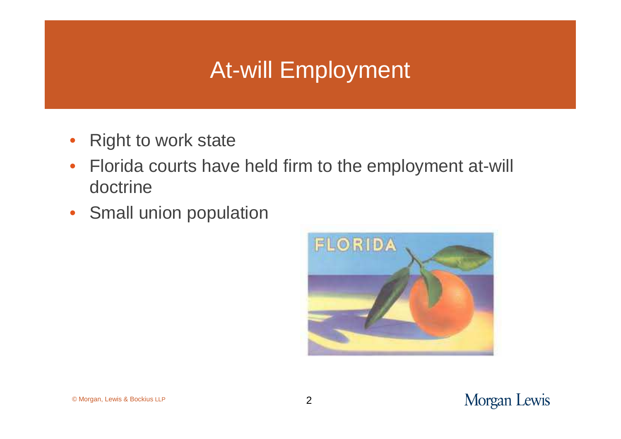## At-will Employment

- Right to work state
- Florida courts have held firm to the employment at-will doctrine
- Small union population

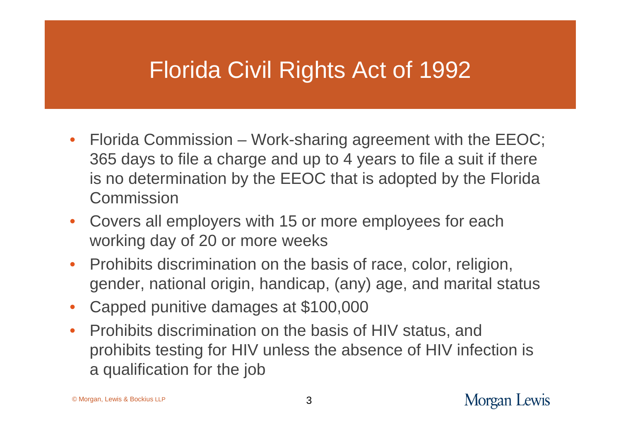### Florida Civil Rights Act of 1992

- Florida Commission Work-sharing agreement with the EEOC; 365 days to file a charge and up to 4 years to file a suit if there is no determination by the EEOC that is adopted by the Florida Commission
- Covers all employers with 15 or more employees for each working day of 20 or more weeks
- Prohibits discrimination on the basis of race, color, religion, gender, national origin, handicap, (any) age, and marital status
- Capped punitive damages at \$100,000
- Prohibits discrimination on the basis of HIV status, and prohibits testing for HIV unless the absence of HIV infection is a qualification for the job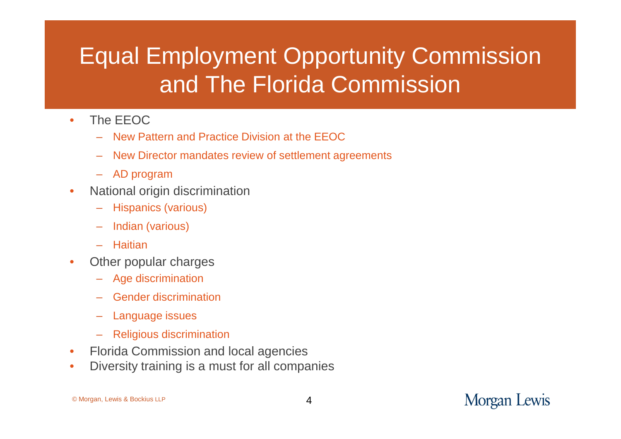# Equal Employment Opportunity Commission and The Florida Commission

- The EEOC
	- New Pattern and Practice Division at the EEOC
	- New Director mandates review of settlement agreements
	- AD program
- National origin discrimination
	- Hispanics (various)
	- Indian (various)
	- Haitian
- Other popular charges
	- Age discrimination
	- Gender discrimination
	- Language issues
	- Religious discrimination
- Florida Commission and local agencies
- Diversity training is a must for all companies

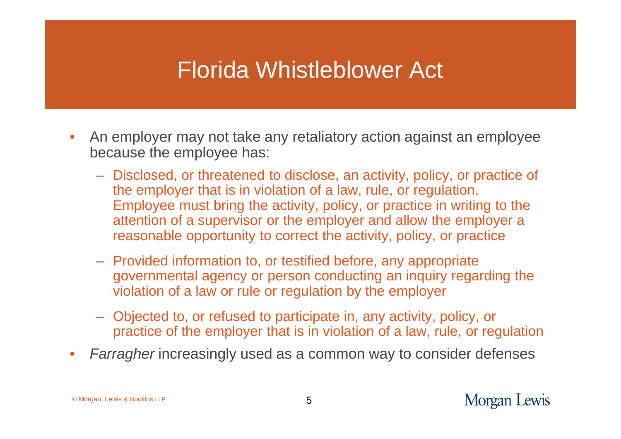#### Florida Whistleblower Act

- An employer may not take any retaliatory action against an employee because the employee has:
	- Disclosed, or threatened to disclose, an activity, policy, or practice of the employer that is in violation of a law, rule, or regulation. Employee must bring the activity, policy, or practice in writing to the attention of a supervisor or the employer and allow the employer a reasonable opportunity to correct the activity, policy, or practice
	- Provided information to, or testified before, any appropriate governmental agency or person conducting an inquiry regarding the violation of a law or rule or regulation by the employer
	- Objected to, or refused to participate in, any activity, policy, or practice of the employer that is in violation of a law, rule, or regulation
- *Farragher* increasingly used as a common way to consider defenses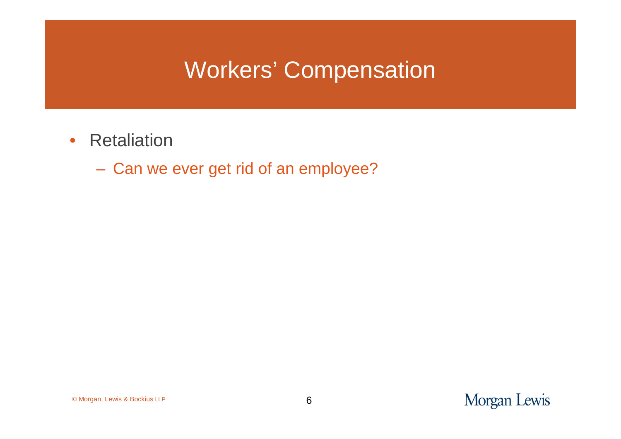### Workers' Compensation

- Retaliation
	- Can we ever get rid of an employee?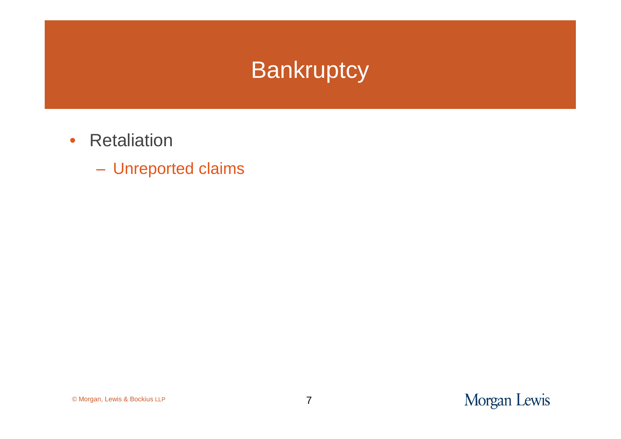### **Bankruptcy**

- Retaliation
	- Unreported claims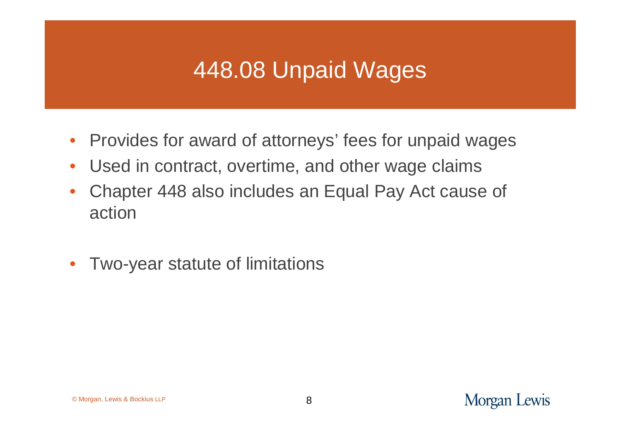## 448.08 Unpaid Wages

- Provides for award of attorneys' fees for unpaid wages
- Used in contract, overtime, and other wage claims
- Chapter 448 also includes an Equal Pay Act cause of action
- Two-year statute of limitations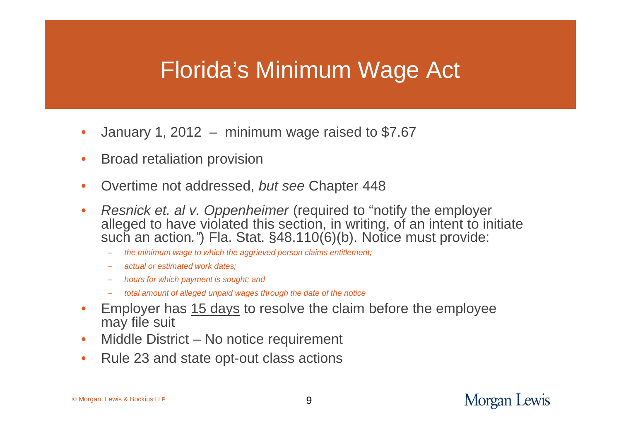### Florida's Minimum Wage Act

- January 1, 2012 minimum wage raised to  $$7.67$
- Broad retaliation provision
- Overtime not addressed, *but see* Chapter 448
- *Resnick et. al v. Oppenheimer* (required to "notify the employer alleged to have violated this section, in writing, of an intent to initiate such an action*."*) Fla. Stat. §48.110(6)(b). Notice must provide:
	- *the minimum wage to which the aggrieved person claims entitlement;*
	- *actual or estimated work dates;*
	- *hours for which payment is sought; and*
	- *total amount of alleged unpaid wages through the date of the notice*
- Employer has 15 days to resolve the claim before the employee may file suit
- Middle District No notice requirement
- Rule 23 and state opt-out class actions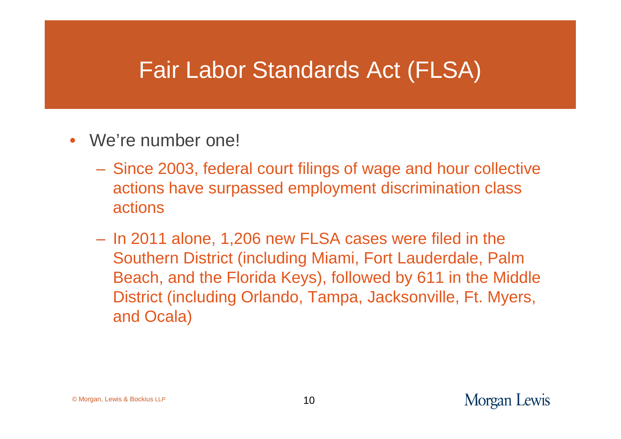#### Fair Labor Standards Act (FLSA)

- We're number one!
	- Since 2003, federal court filings of wage and hour collective actions have surpassed employment discrimination class actions
	- In 2011 alone, 1,206 new FLSA cases were filed in the Southern District (including Miami, Fort Lauderdale, Palm Beach, and the Florida Keys), followed by 611 in the Middle District (including Orlando, Tampa, Jacksonville, Ft. Myers, and Ocala)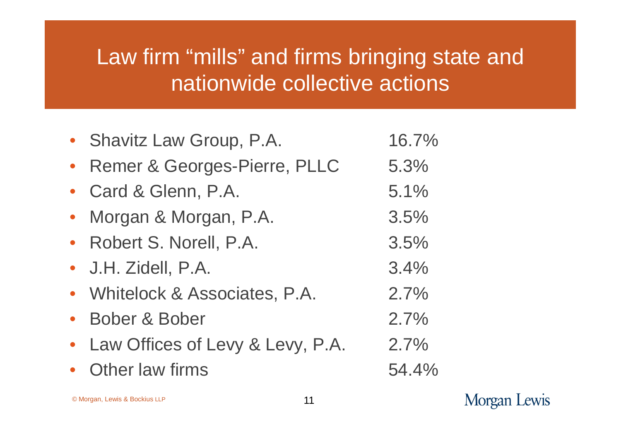### Law firm "mills" and firms bringing state and nationwide collective actions

| • Shavitz Law Group, P.A.          | 16.7% |
|------------------------------------|-------|
| Remer & Georges-Pierre, PLLC       | 5.3%  |
| Card & Glenn, P.A.                 | 5.1%  |
| Morgan & Morgan, P.A.              | 3.5%  |
| • Robert S. Norell, P.A.           | 3.5%  |
| • J.H. Zidell, P.A.                | 3.4%  |
| • Whitelock & Associates, P.A.     | 2.7%  |
| • Bober & Bober                    | 2.7%  |
| • Law Offices of Levy & Levy, P.A. | 2.7%  |
| Other law firms                    | 54.4% |

Morgan Lewis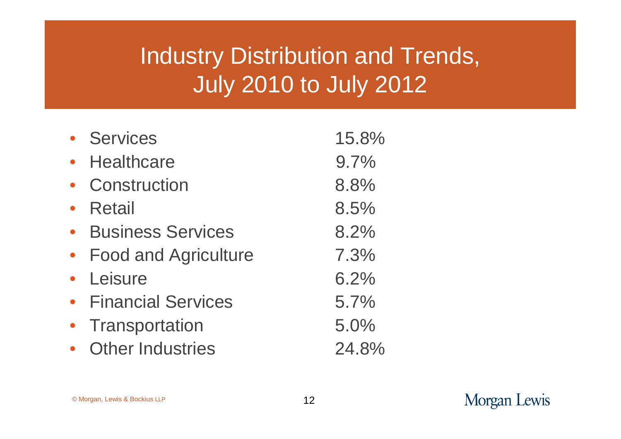# Industry Distribution and Trends, July 2010 to July 2012

| • Services                  | 15.8% |
|-----------------------------|-------|
| <b>Healthcare</b>           | 9.7%  |
| Construction                | 8.8%  |
| <b>Retail</b>               | 8.5%  |
| <b>Business Services</b>    | 8.2%  |
| <b>Food and Agriculture</b> | 7.3%  |
| • Leisure                   | 6.2%  |
| • Financial Services        | 5.7%  |
| Transportation              | 5.0%  |
| <b>Other Industries</b>     | 24.8% |

#### Morgan Lewis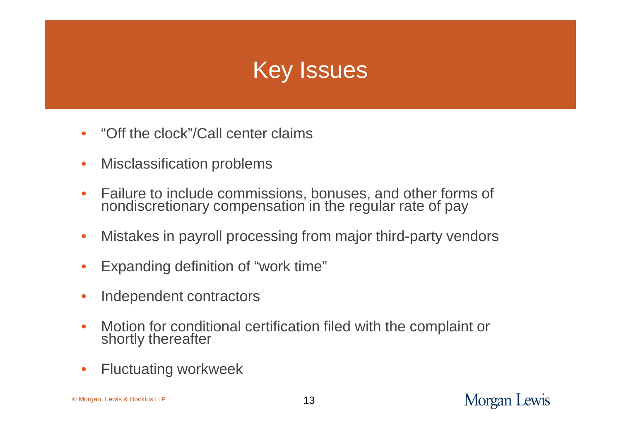# Key Issues

- "Off the clock"/Call center claims
- Misclassification problems
- Failure to include commissions, bonuses, and other forms of nondiscretionary compensation in the regular rate of pay
- Mistakes in payroll processing from major third-party vendors
- Expanding definition of "work time"
- Independent contractors
- Motion for conditional certification filed with the complaint or shortly thereafter
- Fluctuating workweek

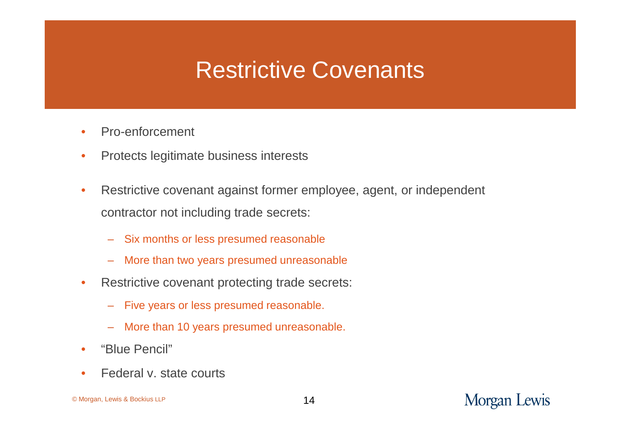### Restrictive Covenants

- Pro-enforcement
- Protects legitimate business interests
- Restrictive covenant against former employee, agent, or independent contractor not including trade secrets:
	- Six months or less presumed reasonable
	- More than two years presumed unreasonable
- Restrictive covenant protecting trade secrets:
	- Five years or less presumed reasonable.
	- More than 10 years presumed unreasonable.
- "Blue Pencil"
- Federal v. state courts

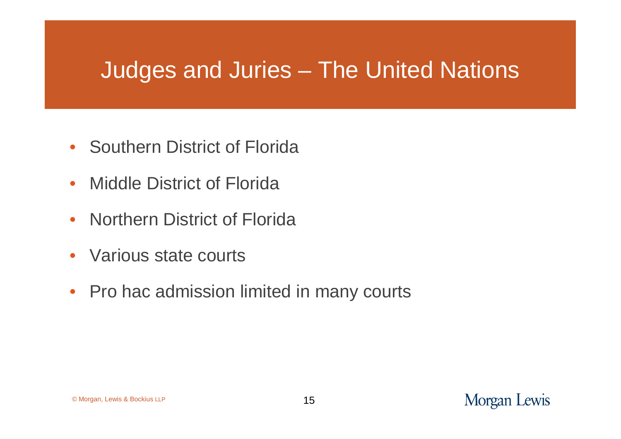#### Judges and Juries – The United Nations

- Southern District of Florida
- Middle District of Florida
- Northern District of Florida
- Various state courts
- Pro hac admission limited in many courts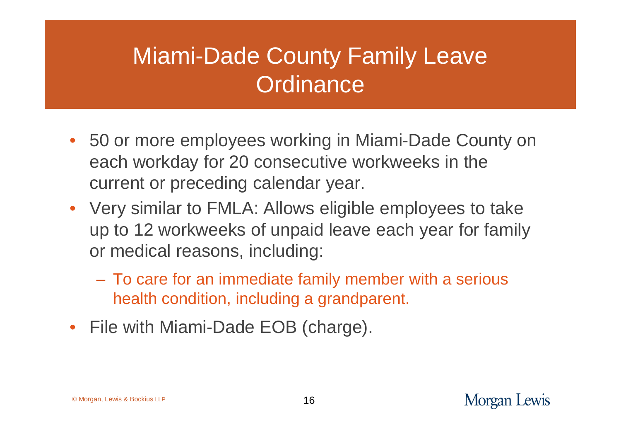# Miami-Dade County Family Leave **Ordinance**

- 50 or more employees working in Miami-Dade County on each workday for 20 consecutive workweeks in the current or preceding calendar year.
- Very similar to FMLA: Allows eligible employees to take up to 12 workweeks of unpaid leave each year for family or medical reasons, including:
	- To care for an immediate family member with a serious health condition, including a grandparent.
- File with Miami-Dade EOB (charge).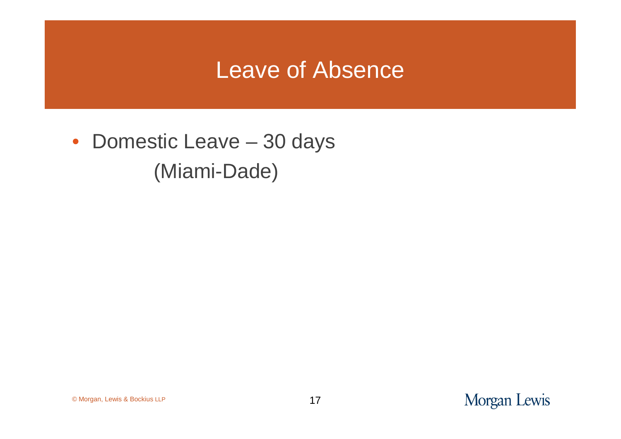#### Leave of Absence

• Domestic Leave – 30 days (Miami-Dade)

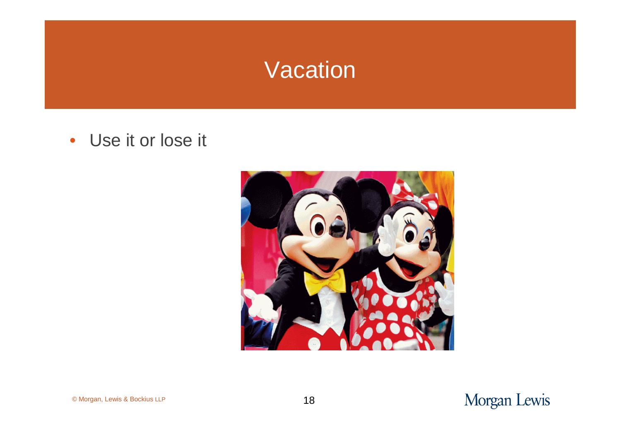#### Vacation

• Use it or lose it



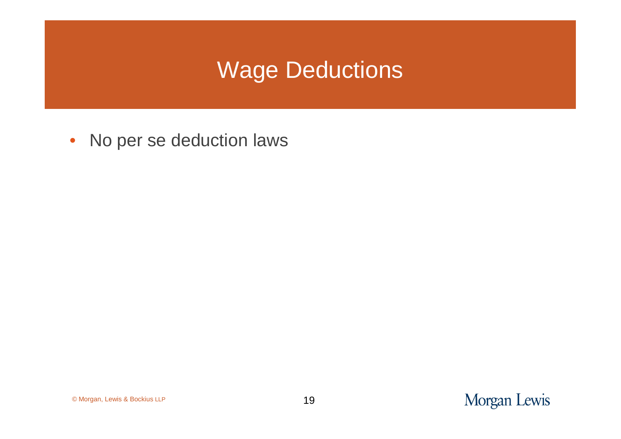## Wage Deductions

• No per se deduction laws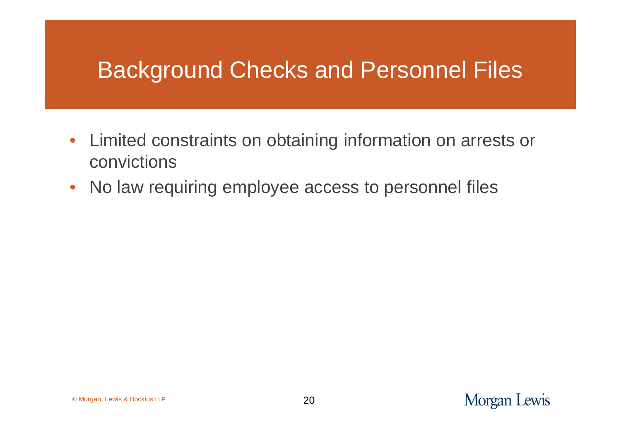### Background Checks and Personnel Files

- Limited constraints on obtaining information on arrests or convictions
- No law requiring employee access to personnel files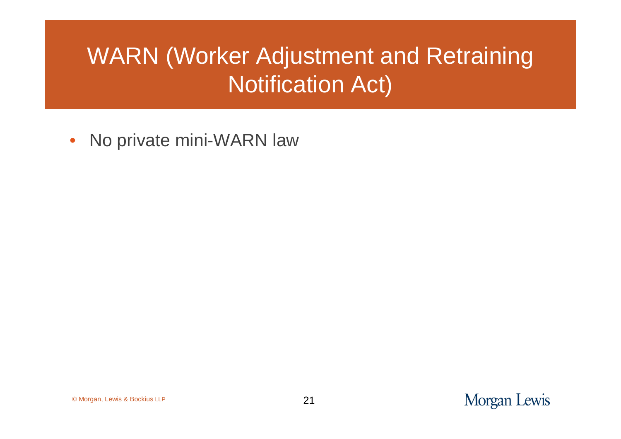# WARN (Worker Adjustment and Retraining Notification Act)

• No private mini-WARN law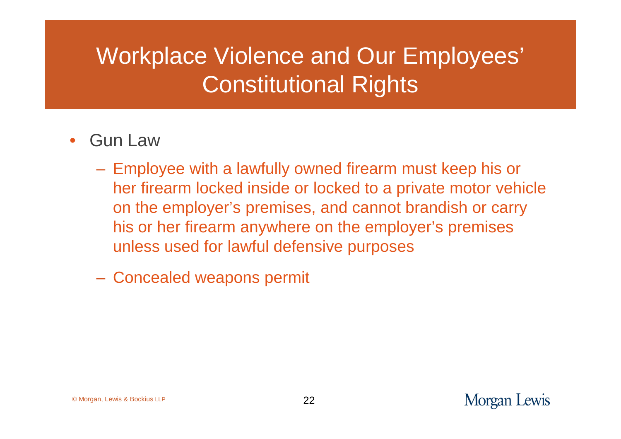# Workplace Violence and Our Employees' Constitutional Rights

- Gun Law
	- Employee with a lawfully owned firearm must keep his or her firearm locked inside or locked to a private motor vehicle on the employer's premises, and cannot brandish or carry his or her firearm anywhere on the employer's premises unless used for lawful defensive purposes
	- Concealed weapons permit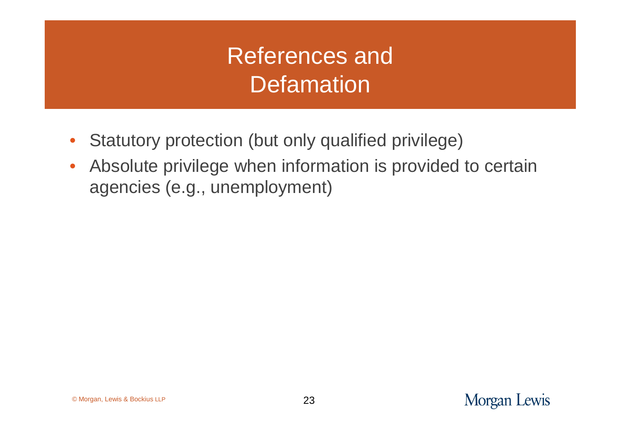# References and **Defamation**

- Statutory protection (but only qualified privilege)
- Absolute privilege when information is provided to certain agencies (e.g., unemployment)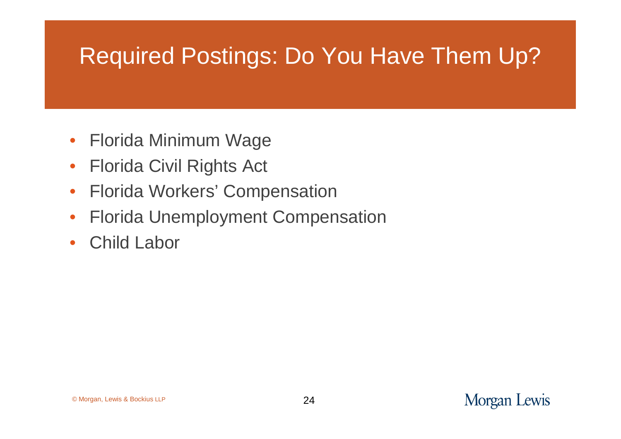# Required Postings: Do You Have Them Up?

- Florida Minimum Wage
- Florida Civil Rights Act
- Florida Workers' Compensation
- Florida Unemployment Compensation
- Child Labor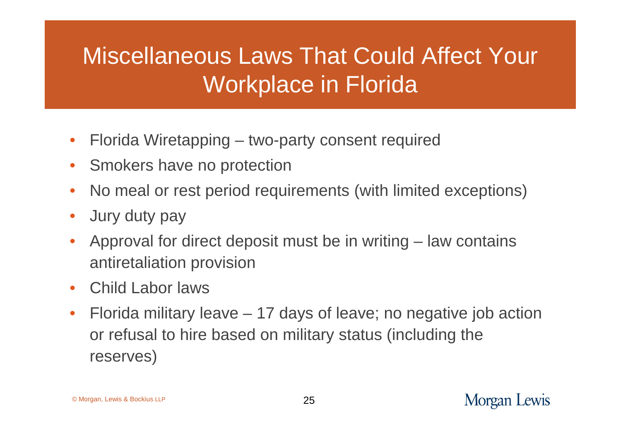# Miscellaneous Laws That Could Affect Your Workplace in Florida

- Florida Wiretapping two-party consent required
- Smokers have no protection
- No meal or rest period requirements (with limited exceptions)
- Jury duty pay
- Approval for direct deposit must be in writing law contains antiretaliation provision
- Child Labor laws
- Florida military leave 17 days of leave; no negative job action or refusal to hire based on military status (including the reserves)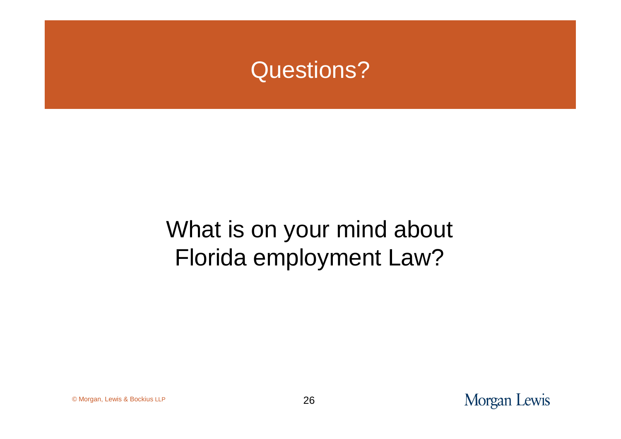#### Questions?

# What is on your mind about Florida employment Law?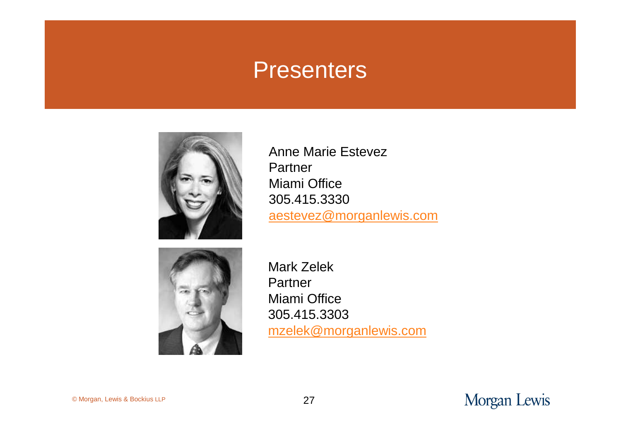#### **Presenters**



Anne Marie Estevez Partner Miami Office 305.415.3330 aestevez@morganlewis.com



Mark Zelek Partner Miami Office 305.415.3303 mzelek@morganlewis.com

© Morgan, Lewis & Bockius LLP